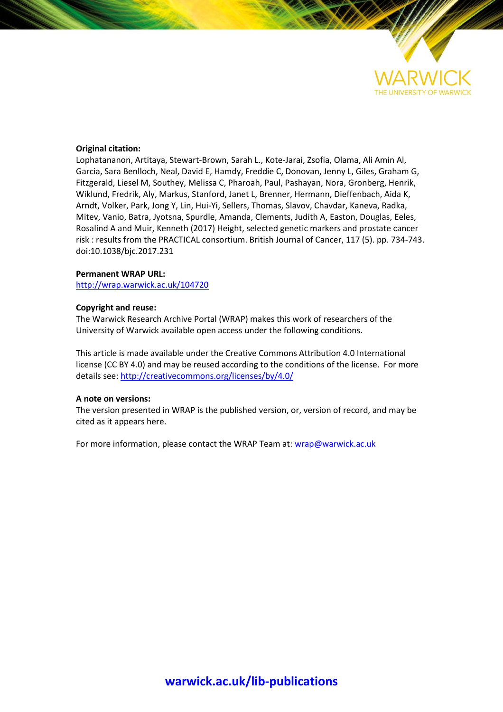

## **Original citation:**

Lophatananon, Artitaya, Stewart-Brown, Sarah L., Kote-Jarai, Zsofia, Olama, Ali Amin Al, Garcia, Sara Benlloch, Neal, David E, Hamdy, Freddie C, Donovan, Jenny L, Giles, Graham G, Fitzgerald, Liesel M, Southey, Melissa C, Pharoah, Paul, Pashayan, Nora, Gronberg, Henrik, Wiklund, Fredrik, Aly, Markus, Stanford, Janet L, Brenner, Hermann, Dieffenbach, Aida K, Arndt, Volker, Park, Jong Y, Lin, Hui-Yi, Sellers, Thomas, Slavov, Chavdar, Kaneva, Radka, Mitev, Vanio, Batra, Jyotsna, Spurdle, Amanda, Clements, Judith A, Easton, Douglas, Eeles, Rosalind A and Muir, Kenneth (2017) Height, selected genetic markers and prostate cancer risk : results from the PRACTICAL consortium. British Journal of Cancer, 117 (5). pp. 734-743. doi:10.1038/bjc.2017.231

## **Permanent WRAP URL:**

<http://wrap.warwick.ac.uk/104720>

## **Copyright and reuse:**

The Warwick Research Archive Portal (WRAP) makes this work of researchers of the University of Warwick available open access under the following conditions.

This article is made available under the Creative Commons Attribution 4.0 International license (CC BY 4.0) and may be reused according to the conditions of the license. For more details see[: http://creativecommons.org/licenses/by/4.0/](http://creativecommons.org/licenses/by/4.0/) 

## **A note on versions:**

The version presented in WRAP is the published version, or, version of record, and may be cited as it appears here.

For more information, please contact the WRAP Team at[: wrap@warwick.ac.uk](mailto:wrap@warwick.ac.uk)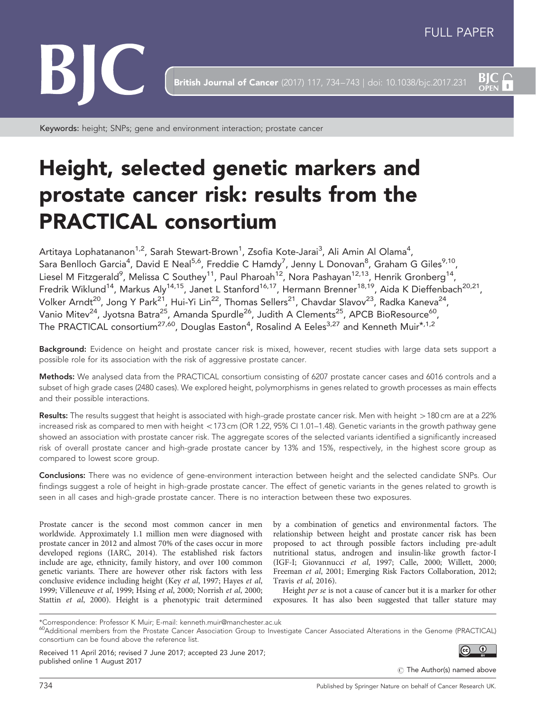**BJC COPEN** 

**British Journal of Cancer** (2017) 117, 734–743 | doi: 10.1038/bjc.2017.231

Keywords: height; SNPs; gene and environment interaction; prostate cancer

 $\overline{a}$ 

# Height, selected genetic markers and prostate cancer risk: results from the PRACTICAL consortium

Artitaya Lophatananon<sup>1,2</sup>, Sarah Stewart-Brown<sup>1</sup>, Zsofia Kote-Jarai<sup>3</sup>, Ali Amin Al Olama<sup>4</sup>, Sara Benlloch Garcia<sup>4</sup>, David E Neal<sup>5,6</sup>, Freddie C Hamdy<sup>7</sup>, Jenny L Donovan<sup>8</sup>, Graham G Giles<sup>9,10</sup>, Liesel M Fitzgerald<sup>9</sup>, Melissa C Southey<sup>11</sup>, Paul Pharoah<sup>12</sup>, Nora Pashayan<sup>12,13</sup>, Henrik Gronberg<sup>14</sup>, Fredrik Wiklund<sup>14</sup>, Markus Aly<sup>14,15</sup>, Janet L Stanford<sup>16,17</sup>, Hermann Brenner<sup>18,19</sup>, Aida K Dieffenbach<sup>20,21</sup>, Volker Arndt<sup>20</sup>, Jong Y Park<sup>21</sup>, Hui-Yi Lin<sup>22</sup>, Thomas Sellers<sup>21</sup>, Chavdar Slavov<sup>23</sup>, Radka Kaneva<sup>24</sup>, Vanio Mitev<sup>24</sup>, Jyotsna Batra<sup>25</sup>, Amanda Spurdle<sup>26</sup>, Judith A Clements<sup>25</sup>, APCB BioResource<sup>60</sup>, The PRACTICAL consortium $^{27,60}$ , Douglas Easton $^4$ , Rosalind A Eeles $^{3,27}$  and Kenneth Muir $^{\star,1,2}$ 

Background: Evidence on height and prostate cancer risk is mixed, however, recent studies with large data sets support a possible role for its association with the risk of aggressive prostate cancer.

Methods: We analysed data from the PRACTICAL consortium consisting of 6207 prostate cancer cases and 6016 controls and a subset of high grade cases (2480 cases). We explored height, polymorphisms in genes related to growth processes as main effects and their possible interactions.

Results: The results suggest that height is associated with high-grade prostate cancer risk. Men with height >180 cm are at a 22% increased risk as compared to men with height < 173 cm (OR 1.22, 95% CI 1.01–1.48). Genetic variants in the growth pathway gene showed an association with prostate cancer risk. The aggregate scores of the selected variants identified a significantly increased risk of overall prostate cancer and high-grade prostate cancer by 13% and 15%, respectively, in the highest score group as compared to lowest score group.

Conclusions: There was no evidence of gene-environment interaction between height and the selected candidate SNPs. Our findings suggest a role of height in high-grade prostate cancer. The effect of genetic variants in the genes related to growth is seen in all cases and high-grade prostate cancer. There is no interaction between these two exposures.

Prostate cancer is the second most common cancer in men worldwide. Approximately 1.1 million men were diagnosed with prostate cancer in 2012 and almost 70% of the cases occur in more developed regions ([IARC, 2014\)](#page-8-0). The established risk factors include are age, ethnicity, family history, and over 100 common genetic variants. There are however other risk factors with less conclusive evidence including height (Key et al[, 1997; Hayes](#page-9-0) et al, [1999](#page-9-0); [Villeneuve](#page-10-0) et al, 1999; Hsing et al[, 2000; Norrish](#page-9-0) et al, 2000; Stattin et al[, 2000\)](#page-9-0). Height is a phenotypic trait determined

by a combination of genetics and environmental factors. The relationship between height and prostate cancer risk has been proposed to act through possible factors including pre-adult nutritional status, androgen and insulin-like growth factor-I (IGF-I; [Giovannucci](#page-8-0) et al, 1997; [Calle, 2000](#page-8-0); [Willett, 2000;](#page-10-0) [Freeman](#page-8-0) et al, 2001; [Emerging Risk Factors Collaboration, 2012;](#page-8-0) Travis et al[, 2016](#page-9-0)).

Height per se is not a cause of cancer but it is a marker for other exposures. It has also been suggested that taller stature may

Received 11 April 2016; revised 7 June 2017; accepted 23 June 2017; published online 1 August 2017

 $\circled{c}$  The Author(s) named above

 $\bigcirc$ 

<sup>\*</sup>Correspondence: Professor K Muir; E-mail: [kenneth.muir@manchester.ac.uk](mailto:kenneth.muir@manchester.ac.uk)

<sup>&</sup>lt;sup>60</sup>Additional members from the Prostate Cancer Association Group to Investigate Cancer Associated Alterations in the Genome (PRACTICAL) consortium can be found above the reference list.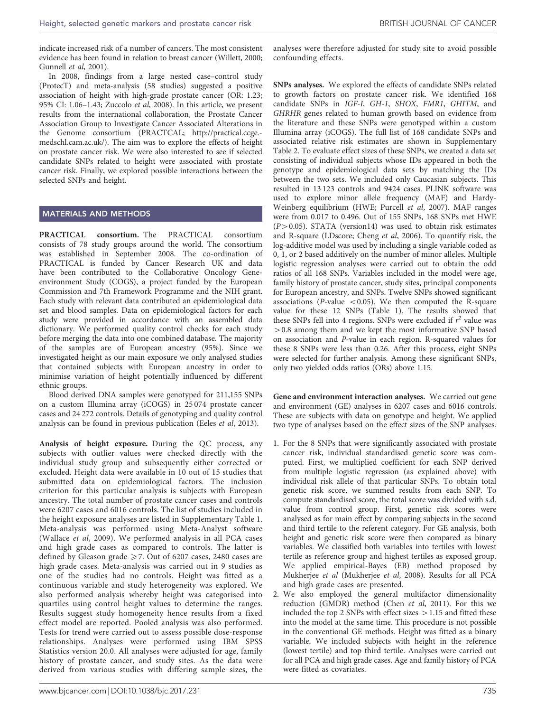indicate increased risk of a number of cancers. The most consistent evidence has been found in relation to breast cancer ([Willett, 2000;](#page-10-0) [Gunnell](#page-9-0) et al, 2001).

In 2008, findings from a large nested case–control study (ProtecT) and meta-analysis (58 studies) suggested a positive association of height with high-grade prostate cancer (OR: 1.23; 95% CI: 1.06–1.43; [Zuccolo](#page-10-0) et al, 2008). In this article, we present results from the international collaboration, the Prostate Cancer Association Group to Investigate Cancer Associated Alterations in the Genome consortium (PRACTCAL; http://practical.ccge. medschl.cam.ac.uk/). The aim was to explore the effects of height on prostate cancer risk. We were also interested to see if selected candidate SNPs related to height were associated with prostate cancer risk. Finally, we explored possible interactions between the selected SNPs and height.

#### MATERIALS AND METHODS

PRACTICAL consortium. The PRACTICAL consortium consists of 78 study groups around the world. The consortium was established in September 2008. The co-ordination of PRACTICAL is funded by Cancer Research UK and data have been contributed to the Collaborative Oncology Geneenvironment Study (COGS), a project funded by the European Commission and 7th Framework Programme and the NIH grant. Each study with relevant data contributed an epidemiological data set and blood samples. Data on epidemiological factors for each study were provided in accordance with an assembled data dictionary. We performed quality control checks for each study before merging the data into one combined database. The majority of the samples are of European ancestry (95%). Since we investigated height as our main exposure we only analysed studies that contained subjects with European ancestry in order to minimise variation of height potentially influenced by different ethnic groups.

Blood derived DNA samples were genotyped for 211,155 SNPs on a custom Illumina array (iCOGS) in 25 074 prostate cancer cases and 24 272 controls. Details of genotyping and quality control analysis can be found in previous publication (Eeles et al[, 2013](#page-8-0)).

Analysis of height exposure. During the QC process, any subjects with outlier values were checked directly with the individual study group and subsequently either corrected or excluded. Height data were available in 10 out of 15 studies that submitted data on epidemiological factors. The inclusion criterion for this particular analysis is subjects with European ancestry. The total number of prostate cancer cases and controls were 6207 cases and 6016 controls. The list of studies included in the height exposure analyses are listed in Supplementary Table 1. Meta-analysis was performed using Meta-Analyst software ([Wallace](#page-10-0) et al, 2009). We performed analysis in all PCA cases and high grade cases as compared to controls. The latter is defined by Gleason grade  $\geq 7$ . Out of 6207 cases, 2480 cases are high grade cases. Meta-analysis was carried out in 9 studies as one of the studies had no controls. Height was fitted as a continuous variable and study heterogeneity was explored. We also performed analysis whereby height was categorised into quartiles using control height values to determine the ranges. Results suggest study homogeneity hence results from a fixed effect model are reported. Pooled analysis was also performed. Tests for trend were carried out to assess possible dose-response relationships. Analyses were performed using IBM SPSS Statistics version 20.0. All analyses were adjusted for age, family history of prostate cancer, and study sites. As the data were derived from various studies with differing sample sizes, the

analyses were therefore adjusted for study site to avoid possible confounding effects.

SNPs analyses. We explored the effects of candidate SNPs related to growth factors on prostate cancer risk. We identified 168 candidate SNPs in IGF-I, GH-1, SHOX, FMR1, GHITM, and GHRHR genes related to human growth based on evidence from the literature and these SNPs were genotyped within a custom Illumina array (iCOGS). The full list of 168 candidate SNPs and associated relative risk estimates are shown in Supplementary Table 2. To evaluate effect sizes of these SNPs, we created a data set consisting of individual subjects whose IDs appeared in both the genotype and epidemiological data sets by matching the IDs between the two sets. We included only Caucasian subjects. This resulted in 13 123 controls and 9424 cases. PLINK software was used to explore minor allele frequency (MAF) and Hardy-Weinberg equilibrium (HWE; [Purcell](#page-9-0) et al, 2007). MAF ranges were from 0.017 to 0.496. Out of 155 SNPs, 168 SNPs met HWE  $(P>0.05)$ . STATA (version14) was used to obtain risk estimates and R-square (LDscore; [Cheng](#page-8-0) et al, 2006). To quantify risk, the log-additive model was used by including a single variable coded as 0, 1, or 2 based additively on the number of minor alleles. Multiple logistic regression analyses were carried out to obtain the odd ratios of all 168 SNPs. Variables included in the model were age, family history of prostate cancer, study sites, principal components for European ancestry, and SNPs. Twelve SNPs showed significant associations (P-value  $< 0.05$ ). We then computed the R-square value for these 12 SNPs [\(Table 1](#page-3-0)). The results showed that these SNPs fell into 4 regions. SNPs were excluded if  $r^2$  value was  $> 0.8$  among them and we kept the most informative SNP based on association and P-value in each region. R-squared values for these 8 SNPs were less than 0.26. After this process, eight SNPs were selected for further analysis. Among these significant SNPs, only two yielded odds ratios (ORs) above 1.15.

Gene and environment interaction analyses. We carried out gene and environment (GE) analyses in 6207 cases and 6016 controls. These are subjects with data on genotype and height. We applied two type of analyses based on the effect sizes of the SNP analyses.

- 1. For the 8 SNPs that were significantly associated with prostate cancer risk, individual standardised genetic score was computed. First, we multiplied coefficient for each SNP derived from multiple logistic regression (as explained above) with individual risk allele of that particular SNPs. To obtain total genetic risk score, we summed results from each SNP. To compute standardised score, the total score was divided with s.d. value from control group. First, genetic risk scores were analysed as for main effect by comparing subjects in the second and third tertile to the referent category. For GE analysis, both height and genetic risk score were then compared as binary variables. We classified both variables into tertiles with lowest tertile as reference group and highest tertiles as exposed group. We applied empirical-Bayes (EB) method proposed by Mukherjee et al ([Mukherjee](#page-9-0) et al, 2008). Results for all PCA and high grade cases are presented.
- 2. We also employed the general multifactor dimensionality reduction (GMDR) method (Chen et al[, 2011](#page-8-0)). For this we included the top 2 SNPs with effect sizes  $>$  1.15 and fitted these into the model at the same time. This procedure is not possible in the conventional GE methods. Height was fitted as a binary variable. We included subjects with height in the reference (lowest tertile) and top third tertile. Analyses were carried out for all PCA and high grade cases. Age and family history of PCA were fitted as covariates.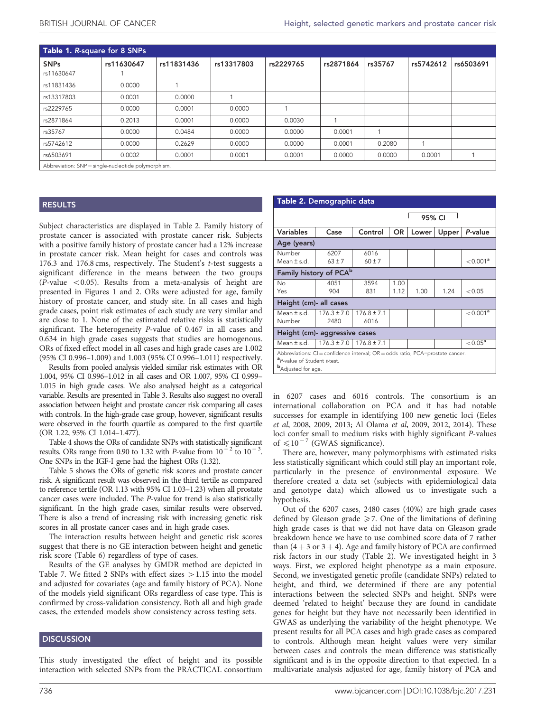<span id="page-3-0"></span>

| Table 1. R-square for 8 SNPs                        |            |            |            |           |           |         |           |           |  |  |  |
|-----------------------------------------------------|------------|------------|------------|-----------|-----------|---------|-----------|-----------|--|--|--|
| <b>SNPs</b>                                         | rs11630647 | rs11831436 | rs13317803 | rs2229765 | rs2871864 | rs35767 | rs5742612 | rs6503691 |  |  |  |
| rs11630647                                          |            |            |            |           |           |         |           |           |  |  |  |
| rs11831436                                          | 0.0000     |            |            |           |           |         |           |           |  |  |  |
| rs13317803                                          | 0.0001     | 0.0000     |            |           |           |         |           |           |  |  |  |
| rs2229765                                           | 0.0000     | 0.0001     | 0.0000     |           |           |         |           |           |  |  |  |
| rs2871864                                           | 0.2013     | 0.0001     | 0.0000     | 0.0030    |           |         |           |           |  |  |  |
| rs35767                                             | 0.0000     | 0.0484     | 0.0000     | 0.0000    | 0.0001    |         |           |           |  |  |  |
| rs5742612                                           | 0.0000     | 0.2629     | 0.0000     | 0.0000    | 0.0001    | 0.2080  |           |           |  |  |  |
| rs6503691                                           | 0.0002     | 0.0001     | 0.0001     | 0.0001    | 0.0000    | 0.0000  | 0.0001    |           |  |  |  |
| Abbreviation: SNP = single-nucleotide polymorphism. |            |            |            |           |           |         |           |           |  |  |  |

#### RESULTS

Subject characteristics are displayed in Table 2. Family history of prostate cancer is associated with prostate cancer risk. Subjects with a positive family history of prostate cancer had a 12% increase in prostate cancer risk. Mean height for cases and controls was 176.3 and 176.8 cms, respectively. The Student's t-test suggests a significant difference in the means between the two groups  $(P-value < 0.05)$ . Results from a meta-analysis of height are presented in [Figures 1 and 2](#page-4-0). ORs were adjusted for age, family history of prostate cancer, and study site. In all cases and high grade cases, point risk estimates of each study are very similar and are close to 1. None of the estimated relative risks is statistically significant. The heterogeneity P-value of 0.467 in all cases and 0.634 in high grade cases suggests that studies are homogenous. ORs of fixed effect model in all cases and high grade cases are 1.002 (95% CI 0.996–1.009) and 1.003 (95% CI 0.996–1.011) respectively.

Results from pooled analysis yielded similar risk estimates with OR 1.004, 95% CI 0.996–1.012 in all cases and OR 1.007, 95% CI 0.999– 1.015 in high grade cases. We also analysed height as a categorical variable. Results are presented in [Table 3.](#page-4-0) Results also suggest no overall association between height and prostate cancer risk comparing all cases with controls. In the high-grade case group, however, significant results were observed in the fourth quartile as compared to the first quartile (OR 1.22, 95% CI 1.014–1.477).

[Table 4](#page-5-0) shows the ORs of candidate SNPs with statistically significant results. ORs range from 0.90 to 1.32 with *P*-value from  $10^{-2}$  to  $10^{-3}$ . One SNPs in the IGF-I gene had the highest ORs (1.32).

[Table 5](#page-5-0) shows the ORs of genetic risk scores and prostate cancer risk. A significant result was observed in the third tertile as compared to reference tertile (OR 1.13 with 95% CI 1.03–1.23) when all prostate cancer cases were included. The P-value for trend is also statistically significant. In the high grade cases, similar results were observed. There is also a trend of increasing risk with increasing genetic risk scores in all prostate cancer cases and in high grade cases.

The interaction results between height and genetic risk scores suggest that there is no GE interaction between height and genetic risk score ([Table 6\)](#page-5-0) regardless of type of cases.

Results of the GE analyses by GMDR method are depicted in [Table 7.](#page-5-0) We fitted 2 SNPs with effect sizes  $>1.15$  into the model and adjusted for covariates (age and family history of PCA). None of the models yield significant ORs regardless of case type. This is confirmed by cross-validation consistency. Both all and high grade cases, the extended models show consistency across testing sets.

#### **DISCUSSION**

This study investigated the effect of height and its possible interaction with selected SNPs from the PRACTICAL consortium

| Table 2. Demographic data                                                                                                                                       |                         |                         |              |       |       |                      |  |  |  |  |  |
|-----------------------------------------------------------------------------------------------------------------------------------------------------------------|-------------------------|-------------------------|--------------|-------|-------|----------------------|--|--|--|--|--|
| 95% CI                                                                                                                                                          |                         |                         |              |       |       |                      |  |  |  |  |  |
| Variables                                                                                                                                                       | Case                    | Control                 | OR.          | Lower | Upper | P-value              |  |  |  |  |  |
| Age (years)                                                                                                                                                     |                         |                         |              |       |       |                      |  |  |  |  |  |
| Number<br>Mean $\pm$ s.d.                                                                                                                                       | 6207<br>$63 \pm 7$      | 6016<br>$60 \pm 7$      |              |       |       | < 0.001 <sup>a</sup> |  |  |  |  |  |
| Family history of PCA <sup>b</sup>                                                                                                                              |                         |                         |              |       |       |                      |  |  |  |  |  |
| <b>No</b><br>Yes                                                                                                                                                | 4051<br>904             | 3594<br>831             | 1.00<br>1.12 | 1.00  | 1.24  | < 0.05               |  |  |  |  |  |
| Height (cm)- all cases                                                                                                                                          |                         |                         |              |       |       |                      |  |  |  |  |  |
| Mean $\pm$ s.d.<br>Number                                                                                                                                       | $176.3 \pm 7.0$<br>2480 | $176.8 \pm 7.1$<br>6016 |              |       |       | < 0.001 <sup>a</sup> |  |  |  |  |  |
| Height (cm)- aggressive cases                                                                                                                                   |                         |                         |              |       |       |                      |  |  |  |  |  |
| Mean $\pm$ s.d.                                                                                                                                                 | $176.3 \pm 7.0$         | $176.8 \pm 7.1$         |              |       |       | $< 0.05^a$           |  |  |  |  |  |
| Abbreviations: $Cl =$ confidence interval; $OR =$ odds ratio; $PCA =$ prostate cancer.<br><sup>a</sup> P-value of Student t-test.<br><b>b</b> Adjusted for age. |                         |                         |              |       |       |                      |  |  |  |  |  |

in 6207 cases and 6016 controls. The consortium is an international collaboration on PCA and it has had notable successes for example in identifying 100 new genetic loci [\(Eeles](#page-7-0) et al[, 2008, 2009, 2013;](#page-7-0) Al Olama et al[, 2009, 2012, 2014](#page-7-0)). These loci confer small to medium risks with highly significant P-values of  $\leq 10^{-7}$  (GWAS significance).

There are, however, many polymorphisms with estimated risks less statistically significant which could still play an important role, particularly in the presence of environmental exposure. We therefore created a data set (subjects with epidemiological data and genotype data) which allowed us to investigate such a hypothesis.

Out of the 6207 cases, 2480 cases (40%) are high grade cases defined by Gleason grade  $\geq$  7. One of the limitations of defining high grade cases is that we did not have data on Gleason grade breakdown hence we have to use combined score data of 7 rather than  $(4 + 3 \text{ or } 3 + 4)$ . Age and family history of PCA are confirmed risk factors in our study (Table 2). We investigated height in 3 ways. First, we explored height phenotype as a main exposure. Second, we investigated genetic profile (candidate SNPs) related to height, and third, we determined if there are any potential interactions between the selected SNPs and height. SNPs were deemed 'related to height' because they are found in candidate genes for height but they have not necessarily been identified in GWAS as underlying the variability of the height phenotype. We present results for all PCA cases and high grade cases as compared to controls. Although mean height values were very similar between cases and controls the mean difference was statistically significant and is in the opposite direction to that expected. In a multivariate analysis adjusted for age, family history of PCA and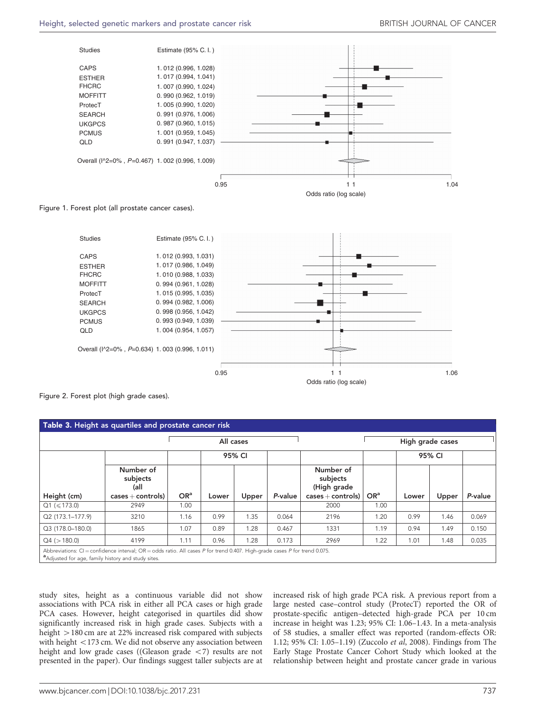<span id="page-4-0"></span>





Figure 2. Forest plot (high grade cases).

| Table 3. Height as quartiles and prostate cancer risk          |                                                                                                                            |                 |        |       |         |                                      |                 |       |        |         |  |  |
|----------------------------------------------------------------|----------------------------------------------------------------------------------------------------------------------------|-----------------|--------|-------|---------|--------------------------------------|-----------------|-------|--------|---------|--|--|
| All cases<br>High grade cases                                  |                                                                                                                            |                 |        |       |         |                                      |                 |       |        |         |  |  |
|                                                                |                                                                                                                            |                 | 95% CI |       |         |                                      |                 |       | 95% CI |         |  |  |
|                                                                | Number of<br>subjects<br>(all                                                                                              |                 |        |       |         | Number of<br>subjects<br>(High grade |                 |       |        |         |  |  |
| Height (cm)                                                    | $cases + controls)$                                                                                                        | OR <sup>a</sup> | Lower  | Upper | P-value | $cases + controls)$                  | OR <sup>a</sup> | Lower | Upper  | P-value |  |  |
| $Q1 (\leq 173.0)$                                              | 2949                                                                                                                       | 1.00            |        |       |         | 2000                                 | 1.00            |       |        |         |  |  |
| $Q2(173.1 - 177.9)$                                            | 3210                                                                                                                       | 1.16            | 0.99   | 1.35  | 0.064   | 2196                                 | 1.20            | 0.99  | 1.46   | 0.069   |  |  |
| Q3 (178.0-180.0)                                               | 1865                                                                                                                       | 1.07            | 0.89   | 1.28  | 0.467   | 1331                                 | 1.19            | 0.94  | 1.49   | 0.150   |  |  |
| Q4 (> 180.0)                                                   | 4199                                                                                                                       | 1.11            | 0.96   | 1.28  | 0.173   | 2969                                 | 1.22            | 1.01  | 1.48   | 0.035   |  |  |
| <sup>a</sup> Adjusted for age, family history and study sites. | Abbreviations: CI = confidence interval; OR = odds ratio. All cases P for trend 0.407. High-grade cases P for trend 0.075. |                 |        |       |         |                                      |                 |       |        |         |  |  |

study sites, height as a continuous variable did not show associations with PCA risk in either all PCA cases or high grade PCA cases. However, height categorised in quartiles did show significantly increased risk in high grade cases. Subjects with a height  $>$  180 cm are at 22% increased risk compared with subjects with height  $<$  173 cm. We did not observe any association between height and low grade cases ((Gleason grade  $\langle$ 7) results are not presented in the paper). Our findings suggest taller subjects are at

increased risk of high grade PCA risk. A previous report from a large nested case–control study (ProtecT) reported the OR of prostate-specific antigen–detected high-grade PCA per 10 cm increase in height was 1.23; 95% CI: 1.06–1.43. In a meta-analysis of 58 studies, a smaller effect was reported (random-effects OR: 1.12; 95% CI: 1.05–1.19) [\(Zuccolo](#page-10-0) et al, 2008). Findings from The Early Stage Prostate Cancer Cohort Study which looked at the relationship between height and prostate cancer grade in various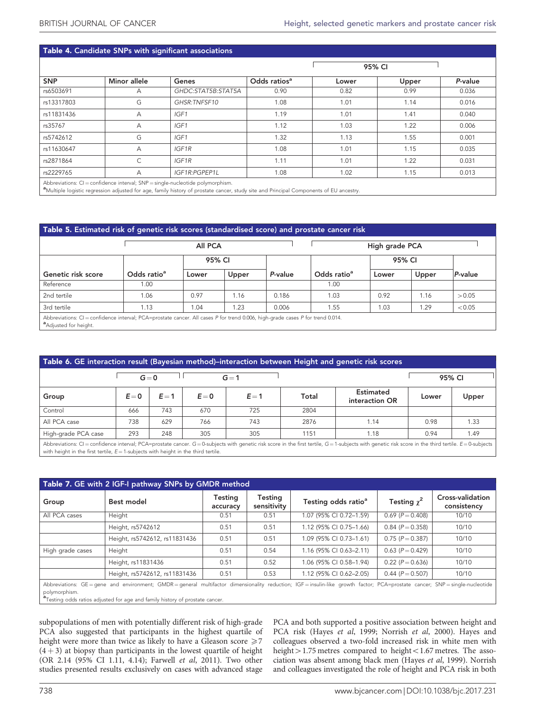#### <span id="page-5-0"></span>Table 4. Candidate SNPs with significant associations

|                                                                                                                                                                                                                           |              |                    |                          | 95% CI |       |         |  |  |  |
|---------------------------------------------------------------------------------------------------------------------------------------------------------------------------------------------------------------------------|--------------|--------------------|--------------------------|--------|-------|---------|--|--|--|
| <b>SNP</b>                                                                                                                                                                                                                | Minor allele | Genes              | Odds ratios <sup>a</sup> | Lower  | Upper | P-value |  |  |  |
| rs6503691                                                                                                                                                                                                                 | A            | GHDC:STAT5B:STAT5A | 0.90                     | 0.82   | 0.99  | 0.036   |  |  |  |
| rs13317803                                                                                                                                                                                                                | G            | GHSR:TNFSF10       | 1.08                     | 1.01   | 1.14  | 0.016   |  |  |  |
| rs11831436                                                                                                                                                                                                                | A            | IGF1               | 1.19                     | 1.01   | 1.41  | 0.040   |  |  |  |
| rs35767                                                                                                                                                                                                                   | А            | IGF1               | 1.12                     | 1.03   | 1.22  | 0.006   |  |  |  |
| rs5742612                                                                                                                                                                                                                 | G            | IGF1               | 1.32                     | 1.13   | 1.55  | 0.001   |  |  |  |
| rs11630647                                                                                                                                                                                                                | А            | IGF1R              | 1.08                     | 1.01   | 1.15  | 0.035   |  |  |  |
| rs2871864                                                                                                                                                                                                                 | C            | IGF1R              | 1.11                     | 1.01   | 1.22  | 0.031   |  |  |  |
| rs2229765                                                                                                                                                                                                                 | A            | IGF1R:PGPEP1L      | 1.08                     | 1.02   | 1.15  | 0.013   |  |  |  |
| Abbreviations: CI = confidence interval; SNP = single-nucleotide polymorphism.<br>a Multiple logistic regression adjusted for age, family history of prostate cancer, study site and Principal Components of EU ancestry. |              |                    |                          |        |       |         |  |  |  |

### Table 5. Estimated risk of genetic risk scores (standardised score) and prostate cancer risk

| <b>All PCA</b>                                                                                                                                                      |                         |        |       |         | High grade PCA          |        |       |         |  |
|---------------------------------------------------------------------------------------------------------------------------------------------------------------------|-------------------------|--------|-------|---------|-------------------------|--------|-------|---------|--|
|                                                                                                                                                                     |                         | 95% CI |       |         |                         | 95% CI |       |         |  |
| Genetic risk score                                                                                                                                                  | Odds ratio <sup>a</sup> | Lower  | Upper | P-value | Odds ratio <sup>a</sup> | Lower  | Upper | P-value |  |
| Reference                                                                                                                                                           | 1.00                    |        |       |         | 1.00                    |        |       |         |  |
| 2nd tertile                                                                                                                                                         | 1.06                    | 0.97   | 1.16  | 0.186   | 1.03                    | 0.92   | 1.16  | > 0.05  |  |
| 3rd tertile                                                                                                                                                         | 1.13                    | 1.04   | 1.23  | 0.006   | .55                     | 1.03   | 1.29  | < 0.05  |  |
| Abbreviations: CI = confidence interval; PCA=prostate cancer. All cases P for trend 0.006, high-grade cases P for trend 0.014.<br><sup>a</sup> Adjusted for height. |                         |        |       |         |                         |        |       |         |  |

| Table 6. GE interaction result (Bayesian method)–interaction between Height and genetic risk scores |                                                                                                                                                                                                        |         |         |         |       |                                    |       |        |  |  |  |
|-----------------------------------------------------------------------------------------------------|--------------------------------------------------------------------------------------------------------------------------------------------------------------------------------------------------------|---------|---------|---------|-------|------------------------------------|-------|--------|--|--|--|
|                                                                                                     | $G = 0$                                                                                                                                                                                                |         |         | $G = 1$ |       |                                    |       | 95% CI |  |  |  |
| Group                                                                                               | $E=0$                                                                                                                                                                                                  | $E = 1$ | $E = 0$ | $E = 1$ | Total | <b>Estimated</b><br>interaction OR | Lower | Upper  |  |  |  |
| Control                                                                                             | 666                                                                                                                                                                                                    | 743     | 670     | 725     | 2804  |                                    |       |        |  |  |  |
| All PCA case                                                                                        | 738                                                                                                                                                                                                    | 629     | 766     | 743     | 2876  | 1.14                               | 0.98  | 1.33   |  |  |  |
| High-grade PCA case                                                                                 | 293                                                                                                                                                                                                    | 248     | 305     | 305     | 1151  | 1.18                               | 0.94  | 1.49   |  |  |  |
|                                                                                                     | Abbreviations: CI = confidence interval; PCA=prostate cancer. G = 0-subjects with genetic risk score in the first tertile, G = 1-subjects with genetic risk score in the third tertile. E = 0-subjects |         |         |         |       |                                    |       |        |  |  |  |

with height in the first tertile,  $E = 1$ -subjects with height in the third tertile.

| Table 7. GE with 2 IGF-I pathway SNPs by GMDR method |                                                                                                                                                                       |                     |                        |                                 |                        |                                        |  |  |  |  |  |
|------------------------------------------------------|-----------------------------------------------------------------------------------------------------------------------------------------------------------------------|---------------------|------------------------|---------------------------------|------------------------|----------------------------------------|--|--|--|--|--|
| Group                                                | Best model                                                                                                                                                            | Testing<br>accuracy | Testing<br>sensitivity | Testing odds ratio <sup>a</sup> | Testing $\chi^2$       | <b>Cross-validation</b><br>consistency |  |  |  |  |  |
| All PCA cases                                        | Height                                                                                                                                                                | 0.51                | 0.51                   | 1.07 (95% CI 0.72-1.59)         | $0.69$ (P = 0.408)     | 10/10                                  |  |  |  |  |  |
|                                                      | Height, rs5742612                                                                                                                                                     | 0.51                | 0.51                   | 1.12 (95% CI 0.75-1.66)         | $0.84$ ( $P = 0.358$ ) | 10/10                                  |  |  |  |  |  |
|                                                      | Height, rs5742612, rs11831436                                                                                                                                         | 0.51                | 0.51                   | 1.09 (95% CI 0.73-1.61)         | $0.75 (P = 0.387)$     | 10/10                                  |  |  |  |  |  |
| High grade cases                                     | Height                                                                                                                                                                | 0.51                | 0.54                   | 1.16 (95% CI 0.63-2.11)         | $0.63 (P = 0.429)$     | 10/10                                  |  |  |  |  |  |
|                                                      | Height, rs11831436                                                                                                                                                    | 0.51                | 0.52                   | 1.06 (95% CI 0.58-1.94)         | $0.22 (P = 0.636)$     | 10/10                                  |  |  |  |  |  |
|                                                      | Height, rs5742612, rs11831436                                                                                                                                         | 0.51                | 0.53                   | 1.12 (95% CI 0.62-2.05)         | $0.44 (P = 0.507)$     | 10/10                                  |  |  |  |  |  |
|                                                      | Abbreviations: GE=qene and environment; GMDR=qeneral multifactor dimensionality reduction; IGF=insulin-like growth factor; PCA=prostate cancer; SNP=single-nucleotide |                     |                        |                                 |                        |                                        |  |  |  |  |  |

polymorphism.

**a**<br><sup>a</sup>Testing odds ratios adjusted for age and family history of prostate cancer.

subpopulations of men with potentially different risk of high-grade PCA also suggested that participants in the highest quartile of height were more than twice as likely to have a Gleason score  $\geq 7$  $(4 + 3)$  at biopsy than participants in the lowest quartile of height (OR 2.14 (95% CI 1.11, 4.14); [Farwell](#page-8-0) et al, 2011). Two other studies presented results exclusively on cases with advanced stage

PCA and both supported a positive association between height and PCA risk (Hayes et al[, 1999](#page-9-0); [Norrish](#page-9-0) et al, 2000). Hayes and colleagues observed a two-fold increased risk in white men with height  $>1.75$  metres compared to height  $<1.67$  metres. The association was absent among black men [\(Hayes](#page-9-0) et al, 1999). Norrish and colleagues investigated the role of height and PCA risk in both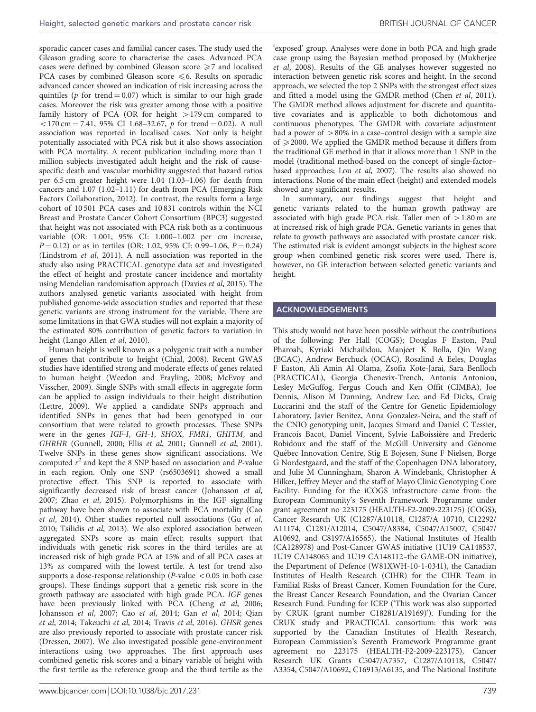sporadic cancer cases and familial cancer cases. The study used the Gleason grading score to characterise the cases. Advanced PCA cases were defined by combined Gleason score  $\geq 7$  and localised PCA cases by combined Gleason score  $\leq 6$ . Results on sporadic advanced cancer showed an indication of risk increasing across the quintiles ( $p$  for trend  $= 0.07$ ) which is similar to our high grade cases. Moreover the risk was greater among those with a positive family history of PCA (OR for height  $>179$  cm compared to  $<$ 170 cm = 7.41, 95% CI 1.68-32.67, p for trend = 0.02). A null association was reported in localised cases. Not only is height potentially associated with PCA risk but it also shows association with PCA mortality. A recent publication including more than 1 million subjects investigated adult height and the risk of causespecific death and vascular morbidity suggested that hazard ratios per 6.5 cm greater height were 1.04 (1.03–1.06) for death from cancers and 1.07 (1.02–1.11) for death from PCA ([Emerging Risk](#page-8-0) [Factors Collaboration, 2012\)](#page-8-0). In contrast, the results form a large cohort of 10 501 PCA cases and 10 831 controls within the NCI Breast and Prostate Cancer Cohort Consortium (BPC3) suggested that height was not associated with PCA risk both as a continuous variable (OR: 1.001, 95% CI: 1.000–1.002 per cm increase,  $P = 0.12$ ) or as in tertiles (OR: 1.02, 95% CI: 0.99–1.06,  $P = 0.24$ ) ([Lindstrom](#page-9-0) et al, 2011). A null association was reported in the study also using PRACTICAL genotype data set and investigated the effect of height and prostate cancer incidence and mortality using Mendelian randomisation approach ([Davies](#page-8-0) et al, 2015). The authors analysed genetic variants associated with height from published genome-wide association studies and reported that these genetic variants are strong instrument for the variable. There are some limitations in that GWA studies will not explain a majority of the estimated 80% contribution of genetic factors to variation in height [\(Lango Allen](#page-9-0) et al, 2010).

Human height is well known as a polygenic trait with a number of genes that contribute to height ([Chial, 2008\)](#page-8-0). Recent GWAS studies have identified strong and moderate effects of genes related to human height [\(Weedon and Frayling, 2008;](#page-10-0) [McEvoy and](#page-9-0) [Visscher, 2009](#page-9-0)). Single SNPs with small effects in aggregate form can be applied to assign individuals to their height distribution ([Lettre, 2009](#page-9-0)). We applied a candidate SNPs approach and identified SNPs in genes that had been genotyped in our consortium that were related to growth processes. These SNPs were in the genes IGF-I, GH-1, SHOX, FMR1, GHITM, and GHRHR [\(Gunnell, 2000](#page-9-0); Ellis et al[, 2001](#page-8-0); [Gunnell](#page-9-0) et al, 2001). Twelve SNPs in these genes show significant associations. We computed  $r^2$  and kept the 8 SNP based on association and P-value in each region. Only one SNP (rs6503691) showed a small protective effect. This SNP is reported to associate with significantly decreased risk of breast cancer [\(Johansson](#page-9-0) et al, [2007](#page-9-0); Zhao et al[, 2015\)](#page-10-0). Polymorphisms in the IGF signalling pathway have been shown to associate with PCA mortality ([Cao](#page-8-0) et al[, 2014](#page-8-0)). Other studies reported null associations (Gu [et al](#page-9-0), [2010](#page-9-0); [Tsilidis](#page-9-0) et al, 2013). We also explored association between aggregated SNPs score as main effect; results support that individuals with genetic risk scores in the third tertiles are at increased risk of high grade PCA at 15% and of all PCA cases at 13% as compared with the lowest tertile. A test for trend also supports a dose-response relationship ( $P$ -value  $< 0.05$  in both case groups). These findings support that a genetic risk score in the growth pathway are associated with high grade PCA. IGF genes have been previously linked with PCA (Cheng et al[, 2006;](#page-8-0) [Johansson](#page-9-0) et al, 2007; Cao et al[, 2014](#page-8-0); Gan et al[, 2014;](#page-8-0) [Qian](#page-9-0) et al[, 2014](#page-9-0); [Takeuchi](#page-9-0) et al, 2014; Travis et al[, 2016\)](#page-9-0). GHSR genes are also previously reported to associate with prostate cancer risk ([Dressen, 2007\)](#page-8-0). We also investigated possible gene-environment interactions using two approaches. The first approach uses combined genetic risk scores and a binary variable of height with the first tertile as the reference group and the third tertile as the

'exposed' group. Analyses were done in both PCA and high grade case group using the Bayesian method proposed by ([Mukherjee](#page-9-0) et al[, 2008\)](#page-9-0). Results of the GE analyses however suggested no interaction between genetic risk scores and height. In the second approach, we selected the top 2 SNPs with the strongest effect sizes and fitted a model using the GMDR method (Chen et al[, 2011](#page-8-0)). The GMDR method allows adjustment for discrete and quantitative covariates and is applicable to both dichotomous and continuous phenotypes. The GMDR with covariate adjustment had a power of  $>80\%$  in a case–control design with a sample size of  $\geq$  2000. We applied the GMDR method because it differs from the traditional GE method in that it allows more than 1 SNP in the model (traditional method-based on the concept of single-factor– based approaches; Lou et al[, 2007\)](#page-9-0). The results also showed no interactions. None of the main effect (height) and extended models showed any significant results.

In summary, our findings suggest that height and genetic variants related to the human growth pathway are associated with high grade PCA risk. Taller men of  $>1.80$  m are at increased risk of high grade PCA. Genetic variants in genes that relate to growth pathways are associated with prostate cancer risk. The estimated risk is evident amongst subjects in the highest score group when combined genetic risk scores were used. There is, however, no GE interaction between selected genetic variants and height.

## ACKNOWLEDGEMENTS

This study would not have been possible without the contributions of the following: Per Hall (COGS); Douglas F Easton, Paul Pharoah, Kyriaki Michailidou, Manjeet K Bolla, Qin Wang (BCAC), Andrew Berchuck (OCAC), Rosalind A Eeles, Douglas F Easton, Ali Amin Al Olama, Zsofia Kote-Jarai, Sara Benlloch (PRACTICAL), Georgia Chenevix-Trench, Antonis Antoniou, Lesley McGuffog, Fergus Couch and Ken Offit (CIMBA), Joe Dennis, Alison M Dunning, Andrew Lee, and Ed Dicks, Craig Luccarini and the staff of the Centre for Genetic Epidemiology Laboratory, Javier Benitez, Anna Gonzalez-Neira, and the staff of the CNIO genotyping unit, Jacques Simard and Daniel C Tessier, Francois Bacot, Daniel Vincent, Sylvie LaBoissière and Frederic Robidoux and the staff of the McGill University and Génome Québec Innovation Centre, Stig E Bojesen, Sune F Nielsen, Borge G Nordestgaard, and the staff of the Copenhagen DNA laboratory, and Julie M Cunningham, Sharon A Windebank, Christopher A Hilker, Jeffrey Meyer and the staff of Mayo Clinic Genotyping Core Facility. Funding for the iCOGS infrastructure came from: the European Community's Seventh Framework Programme under grant agreement no 223175 (HEALTH-F2-2009-223175) (COGS), Cancer Research UK (C1287/A10118, C1287/A 10710, C12292/ A11174, C1281/A12014, C5047/A8384, C5047/A15007, C5047/ A10692, and C8197/A16565), the National Institutes of Health (CA128978) and Post-Cancer GWAS initiative (1U19 CA148537, 1U19 CA148065 and 1U19 CA148112–the GAME-ON initiative), the Department of Defence (W81XWH-10-1-0341), the Canadian Institutes of Health Research (CIHR) for the CIHR Team in Familial Risks of Breast Cancer, Komen Foundation for the Cure, the Breast Cancer Research Foundation, and the Ovarian Cancer Research Fund. Funding for ICEP ('This work was also supported by CRUK (grant number C18281/A19169)'). Funding for the CRUK study and PRACTICAL consortium: this work was supported by the Canadian Institutes of Health Research, European Commission's Seventh Framework Programme grant agreement no 223175 (HEALTH-F2-2009-223175), Cancer Research UK Grants C5047/A7357, C1287/A10118, C5047/ A3354, C5047/A10692, C16913/A6135, and The National Institute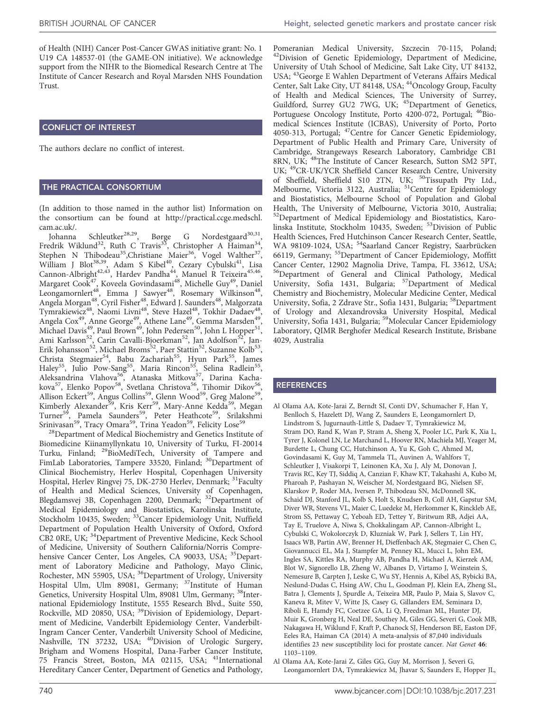<span id="page-7-0"></span>of Health (NIH) Cancer Post-Cancer GWAS initiative grant: No. 1 U19 CA 148537-01 (the GAME-ON initiative). We acknowledge support from the NIHR to the Biomedical Research Centre at The

#### CONFLICT OF INTEREST

Trust.

The authors declare no conflict of interest.

### THE PRACTICAL CONSORTIUM

(In addition to those named in the author list) Information on the consortium can be found at [http://practical.ccge.medschl.](<bold>http://practical.ccge.medschl.cam.ac.uk/</bold>) [cam.ac.uk/](<bold>http://practical.ccge.medschl.cam.ac.uk/</bold>).

Institute of Cancer Research and Royal Marsden NHS Foundation

Johanna Schleutker<sup>28,29</sup>, Børge G Nordestgaard<sup>30,31</sup>, Fredrik Wiklund<sup>32</sup>, Ruth C Travis<sup>33</sup>, Christopher A Haiman<sup>34</sup>, Stephen N Thibodeau<sup>35</sup>,Christiane Maier<sup>36</sup>, Vogel Walther<sup>37</sup>, William J Blot<sup>38,39</sup>, Adam S Kibel<sup>40</sup>, Cezary Cybulski<sup>41</sup>, Lisa Cannon-Albright<sup>42,43</sup>, Hardev Pandha<sup>44</sup>, Manuel R Teixeira<sup>45,46</sup>, Margaret Cook $^{47}$ , Koveela Govindasami $^{48}$ , Michelle Guy $^{49}$ , Daniel Leongamornlert<sup>48</sup>, Emma J Sawyer<sup>48</sup>, Rosemary Wilkinson<sup>48</sup>, Angela Morgan<sup>48</sup>, Cyril Fisher<sup>48</sup>, Edward J. Saunders<sup>48</sup>, Malgorzata Tymrakiewicz<sup>48</sup>, Naomi Livni<sup>48</sup>, Steve Hazel<sup>48</sup>, Tokhir Dadaev<sup>48</sup>, Angela Cox<sup>49</sup>, Anne George<sup>49</sup>, Athene Lane<sup>49</sup>, Gemma Marsden<sup>49</sup>, Michael Davis<sup>49</sup>, Paul Brown<sup>49</sup>, John Pedersen<sup>50</sup>, John L Hopper<sup>51</sup>, Ami Karlsson<sup>52</sup>, Carin Cavalli-Bjoerkman<sup>52</sup>, Jan Adolfson<sup>52</sup>, Jan-Erik Johansson<sup>52</sup>, Michael Broms<sup>52</sup>, Paer Stattin<sup>52</sup>, Suzanne Kolb<sup>53</sup>, Christa Stegmaier<sup>54</sup>, Babu Zachariah<sup>55</sup>, Hyun Park<sup>55</sup>, James Haley<sup>55</sup>, Julio Pow-Sang<sup>55</sup>, Maria Rincon<sup>55</sup>, Selina Radlein<sup>55</sup>, Aleksandrina Vlahova<sup>56</sup>, Atanaska Mitkova<sup>57</sup>, Darina Kachakova<sup>57</sup>, Elenko Popov<sup>58</sup>, Svetlana Christova<sup>56</sup>, Tihomir Dikov<sup>56</sup>, Allison Eckert<sup>59</sup>, Angus Collins<sup>59</sup>, Glenn Wood<sup>59</sup>, Greg Malone<sup>59</sup>, Kimberly Alexander<sup>59</sup>, Kris Kerr<sup>59</sup>, Mary-Anne Kedda<sup>59</sup>, Megan Turner<sup>59</sup>, Pamela Saunders<sup>59</sup>, Peter Heathcote<sup>59</sup>, Srilakshmi Srinivasan<sup>59</sup>, Tracy Omara<sup>59</sup>, Trina Yeadon<sup>59</sup>, Felicity Lose<sup>59</sup>

<sup>28</sup>Department of Medical Biochemistry and Genetics Institute of Biomedicine Kiinamyllynkatu 10, University of Turku, FI-20014 Turku, Finland; <sup>29</sup>BioMediTech, University of Tampere and FimLab Laboratories, Tampere 33520, Finland; <sup>30</sup>Department of Clinical Biochemistry, Herlev Hospital, Copenhagen University Hospital, Herlev Ringvej 75, DK-2730 Herlev, Denmark; <sup>31</sup>Faculty of Health and Medical Sciences, University of Copenhagen, Blegdamsvej 3B, Copenhagen 2200, Denmark; 32Department of Medical Epidemiology and Biostatistics, Karolinska Institute, Stockholm 10435, Sweden; 33Cancer Epidemiology Unit, Nuffield Department of Population Health University of Oxford, Oxford CB2 0RE, UK; <sup>34</sup>Department of Preventive Medicine, Keck School of Medicine, University of Southern California/Norris Comprehensive Cancer Center, Los Angeles, CA 90033, USA; <sup>35</sup>Department of Laboratory Medicine and Pathology, Mayo Clinic, Rochester, MN 55905, USA; <sup>36</sup>Department of Urology, University Hospital Ulm, Ulm 89081, Germany; <sup>37</sup>Institute of Human Genetics, University Hospital Ulm, 89081 Ulm, Germany; <sup>38</sup>International Epidemiology Institute, 1555 Research Blvd., Suite 550, Rockville, MD 20850, USA; 39Division of Epidemiology, Department of Medicine, Vanderbilt Epidemiology Center, Vanderbilt-Ingram Cancer Center, Vanderbilt University School of Medicine, Nashville, TN 37232, USA; <sup>40</sup>Division of Urologic Surgery, Brigham and Womens Hospital, Dana-Farber Cancer Institute, 75 Francis Street, Boston, MA 02115, USA; <sup>41</sup>International Hereditary Cancer Center, Department of Genetics and Pathology,

Pomeranian Medical University, Szczecin 70-115, Poland; <sup>42</sup>Division of Genetic Epidemiology, Department of Medicine, University of Utah School of Medicine, Salt Lake City, UT 84132, USA; 43George E Wahlen Department of Veterans Affairs Medical Center, Salt Lake City, UT 84148, USA; 44Oncology Group, Faculty of Health and Medical Sciences, The University of Surrey, Guildford, Surrey GU2 7WG, UK; <sup>45</sup>Department of Genetics, Portuguese Oncology Institute, Porto 4200-072, Portugal; <sup>46</sup>Biomedical Sciences Institute (ICBAS), University of Porto, Porto 4050-313, Portugal; <sup>47</sup>Centre for Cancer Genetic Epidemiology, Department of Public Health and Primary Care, University of Cambridge, Strangeways Research Laboratory, Cambridge CB1 8RN, UK; <sup>48</sup>The Institute of Cancer Research, Sutton SM2 5PT, UK; 49CR-UK/YCR Sheffield Cancer Research Centre, University of Sheffield, Sheffield S10 2TN, UK; <sup>50</sup>Tissupath Pty Ltd., Melbourne, Victoria 3122, Australia; <sup>51</sup>Centre for Epidemiology and Biostatistics, Melbourne School of Population and Global Health, The University of Melbourne, Victoria 3010, Australia; <sup>52</sup>Department of Medical Epidemiology and Biostatistics, Karolinska Institute, Stockholm 10435, Sweden; 53Division of Public Health Sciences, Fred Hutchinson Cancer Research Center, Seattle, WA 98109-1024, USA; <sup>54</sup>Saarland Cancer Registry, Saarbrücken 66119, Germany; 55Department of Cancer Epidemiology, Moffitt Cancer Center, 12902 Magnolia Drive, Tampa, FL 33612, USA; 56Department of General and Clinical Pathology, Medical University, Sofia 1431, Bulgaria; <sup>57</sup>Department of Medical Chemistry and Biochemistry, Molecular Medicine Center, Medical University, Sofia, 2 Zdrave Str., Sofia 1431, Bulgaria; 58Department of Urology and Alexandrovska University Hospital, Medical University, Sofia 1431, Bulgaria; <sup>59</sup>Molecular Cancer Epidemiology Laboratory, QIMR Berghofer Medical Research Institute, Brisbane 4029, Australia

#### **REFERENCES**

- Al Olama AA, Kote-Jarai Z, Berndt SI, Conti DV, Schumacher F, Han Y, Benlloch S, Hazelett DJ, Wang Z, Saunders E, Leongamornlert D, Lindstrom S, Jugurnauth-Little S, Dadaev T, Tymrakiewicz M, Stram DO, Rand K, Wan P, Stram A, Sheng X, Pooler LC, Park K, Xia L, Tyrer J, Kolonel LN, Le Marchand L, Hoover RN, Machiela MJ, Yeager M, Burdette L, Chung CC, Hutchinson A, Yu K, Goh C, Ahmed M, Govindasami K, Guy M, Tammela TL, Auvinen A, Wahlfors T, Schleutker J, Visakorpi T, Leinonen KA, Xu J, Aly M, Donovan J, Travis RC, Key TJ, Siddiq A, Canzian F, Khaw KT, Takahashi A, Kubo M, Pharoah P, Pashayan N, Weischer M, Nordestgaard BG, Nielsen SF, Klarskov P, Roder MA, Iversen P, Thibodeau SN, McDonnell SK, Schaid DJ, Stanford JL, Kolb S, Holt S, Knudsen B, Coll AH, Gapstur SM, Diver WR, Stevens VL, Maier C, Luedeke M, Herkommer K, Rinckleb AE, Strom SS, Pettaway C, Yeboah ED, Tettey Y, Biritwum RB, Adjei AA, Tay E, Truelove A, Niwa S, Chokkalingam AP, Cannon-Albright L, Cybulski C, Wokolorczyk D, Kluzniak W, Park J, Sellers T, Lin HY, Isaacs WB, Partin AW, Brenner H, Dieffenbach AK, Stegmaier C, Chen C, Giovannucci EL, Ma J, Stampfer M, Penney KL, Mucci L, John EM, Ingles SA, Kittles RA, Murphy AB, Pandha H, Michael A, Kierzek AM, Blot W, Signorello LB, Zheng W, Albanes D, Virtamo J, Weinstein S, Nemesure B, Carpten J, Leske C, Wu SY, Hennis A, Kibel AS, Rybicki BA, Neslund-Dudas C, Hsing AW, Chu L, Goodman PJ, Klein EA, Zheng SL, Batra J, Clements J, Spurdle A, Teixeira MR, Paulo P, Maia S, Slavov C, Kaneva R, Mitev V, Witte JS, Casey G, Gillanders EM, Seminara D, Riboli E, Hamdy FC, Coetzee GA, Li Q, Freedman ML, Hunter DJ, Muir K, Gronberg H, Neal DE, Southey M, Giles GG, Severi G, Cook MB, Nakagawa H, Wiklund F, Kraft P, Chanock SJ, Henderson BE, Easton DF, Eeles RA, Haiman CA (2014) A meta-analysis of 87,040 individuals identifies 23 new susceptibility loci for prostate cancer. Nat Genet 46: 1103–1109.
- Al Olama AA, Kote-Jarai Z, Giles GG, Guy M, Morrison J, Severi G, Leongamornlert DA, Tymrakiewicz M, Jhavar S, Saunders E, Hopper JL,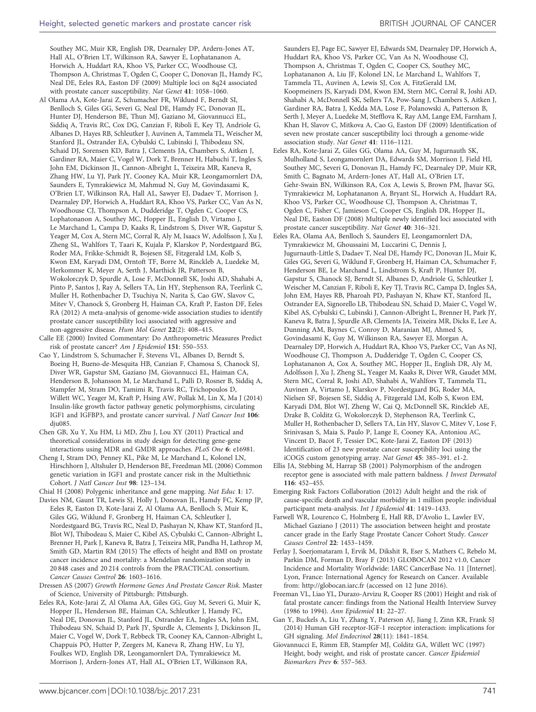<span id="page-8-0"></span>Southey MC, Muir KR, English DR, Dearnaley DP, Ardern-Jones AT, Hall AL, O'Brien LT, Wilkinson RA, Sawyer E, Lophatananon A, Horwich A, Huddart RA, Khoo VS, Parker CC, Woodhouse CJ, Thompson A, Christmas T, Ogden C, Cooper C, Donovan JL, Hamdy FC, Neal DE, Eeles RA, Easton DF (2009) Multiple loci on 8q24 associated with prostate cancer susceptibility. Nat Genet 41: 1058–1060.

- Al Olama AA, Kote-Jarai Z, Schumacher FR, Wiklund F, Berndt SI, Benlloch S, Giles GG, Severi G, Neal DE, Hamdy FC, Donovan JL, Hunter DJ, Henderson BE, Thun MJ, Gaziano M, Giovannucci EL, Siddiq A, Travis RC, Cox DG, Canzian F, Riboli E, Key TJ, Andriole G, Albanes D, Hayes RB, Schleutker J, Auvinen A, Tammela TL, Weischer M, Stanford JL, Ostrander EA, Cybulski C, Lubinski J, Thibodeau SN, Schaid DJ, Sorensen KD, Batra J, Clements JA, Chambers S, Aitken J, Gardiner RA, Maier C, Vogel W, Dork T, Brenner H, Habuchi T, Ingles S, John EM, Dickinson JL, Cannon-Albright L, Teixeira MR, Kaneva R, Zhang HW, Lu YJ, Park JY, Cooney KA, Muir KR, Leongamornlert DA, Saunders E, Tymrakiewicz M, Mahmud N, Guy M, Govindasami K, O'Brien LT, Wilkinson RA, Hall AL, Sawyer EJ, Dadaev T, Morrison J, Dearnaley DP, Horwich A, Huddart RA, Khoo VS, Parker CC, Van As N, Woodhouse CJ, Thompson A, Dudderidge T, Ogden C, Cooper CS, Lophatonanon A, Southey MC, Hopper JL, English D, Virtamo J, Le Marchand L, Campa D, Kaaks R, Lindstrom S, Diver WR, Gapstur S, Yeager M, Cox A, Stern MC, Corral R, Aly M, Isaacs W, Adolfsson J, Xu J, Zheng SL, Wahlfors T, Taari K, Kujala P, Klarskov P, Nordestgaard BG, Roder MA, Frikke-Schmidt R, Bojesen SE, Fitzgerald LM, Kolb S, Kwon EM, Karyadi DM, Orntoft TF, Borre M, Rinckleb A, Luedeke M, Herkommer K, Meyer A, Serth J, Marthick JR, Patterson B, Wokolorczyk D, Spurdle A, Lose F, McDonnell SK, Joshi AD, Shahabi A, Pinto P, Santos J, Ray A, Sellers TA, Lin HY, Stephenson RA, Teerlink C, Muller H, Rothenbacher D, Tsuchiya N, Narita S, Cao GW, Slavov C, Mitev V, Chanock S, Gronberg H, Haiman CA, Kraft P, Easton DF, Eeles RA (2012) A meta-analysis of genome-wide association studies to identify prostate cancer susceptibility loci associated with aggressive and non-aggressive disease. Hum Mol Genet 22(2): 408–415.
- Calle EE (2000) Invited Commentary: Do Anthropometric Measures Predict risk of prostate cancer? Am J Epidemiol 151: 550–553.

Cao Y, Lindstrom S, Schumacher F, Stevens VL, Albanes D, Berndt S, Boeing H, Bueno-de-Mesquita HB, Canzian F, Chamosa S, Chanock SJ, Diver WR, Gapstur SM, Gaziano JM, Giovannucci EL, Haiman CA, Henderson B, Johansson M, Le Marchand L, Palli D, Rosner B, Siddiq A, Stampfer M, Stram DO, Tamimi R, Travis RC, Trichopoulos D, Willett WC, Yeager M, Kraft P, Hsing AW, Pollak M, Lin X, Ma J (2014) Insulin-like growth factor pathway genetic polymorphisms, circulating IGF1 and IGFBP3, and prostate cancer survival. J Natl Cancer Inst 106: dju085.

- Chen GB, Xu Y, Xu HM, Li MD, Zhu J, Lou XY (2011) Practical and theoretical considerations in study design for detecting gene-gene interactions using MDR and GMDR approaches. PLoS One 6: e16981.
- Cheng I, Stram DO, Penney KL, Pike M, Le Marchand L, Kolonel LN, Hirschhorn J, Altshuler D, Henderson BE, Freedman ML (2006) Common genetic variation in IGF1 and prostate cancer risk in the Multiethnic Cohort. J Natl Cancer Inst 98: 123–134.
- Chial H (2008) Polygenic inheritance and gene mapping. Nat Educ 1: 17.
- Davies NM, Gaunt TR, Lewis SJ, Holly J, Donovan JL, Hamdy FC, Kemp JP, Eeles R, Easton D, Kote-Jarai Z, Al Olama AA, Benlloch S, Muir K, Giles GG, Wiklund F, Gronberg H, Haiman CA, Schleutker J, Nordestgaard BG, Travis RC, Neal D, Pashayan N, Khaw KT, Stanford JL, Blot WJ, Thibodeau S, Maier C, Kibel AS, Cybulski C, Cannon-Albright L, Brenner H, Park J, Kaneva R, Batra J, Teixeira MR, Pandha H, Lathrop M, Smith GD, Martin RM (2015) The effects of height and BMI on prostate cancer incidence and mortality: a Mendelian randomization study in 20 848 cases and 20 214 controls from the PRACTICAL consortium. Cancer Causes Control 26: 1603–1616.
- Dressen AS (2007) Growth Hormone Genes And Prostate Cancer Risk. Master of Science, University of Pittsburgh: Pittsburgh.
- Eeles RA, Kote-Jarai Z, Al Olama AA, Giles GG, Guy M, Severi G, Muir K, Hopper JL, Henderson BE, Haiman CA, Schleutker J, Hamdy FC, Neal DE, Donovan JL, Stanford JL, Ostrander EA, Ingles SA, John EM, Thibodeau SN, Schaid D, Park JY, Spurdle A, Clements J, Dickinson JL, Maier C, Vogel W, Dork T, Rebbeck TR, Cooney KA, Cannon-Albright L, Chappuis PO, Hutter P, Zeegers M, Kaneva R, Zhang HW, Lu YJ, Foulkes WD, English DR, Leongamornlert DA, Tymrakiewicz M, Morrison J, Ardern-Jones AT, Hall AL, O'Brien LT, Wilkinson RA,

Saunders EJ, Page EC, Sawyer EJ, Edwards SM, Dearnaley DP, Horwich A, Huddart RA, Khoo VS, Parker CC, Van As N, Woodhouse CJ, Thompson A, Christmas T, Ogden C, Cooper CS, Southey MC, Lophatananon A, Liu JF, Kolonel LN, Le Marchand L, Wahlfors T, Tammela TL, Auvinen A, Lewis SJ, Cox A, FitzGerald LM, Koopmeiners JS, Karyadi DM, Kwon EM, Stern MC, Corral R, Joshi AD, Shahabi A, McDonnell SK, Sellers TA, Pow-Sang J, Chambers S, Aitken J, Gardiner RA, Batra J, Kedda MA, Lose F, Polanowski A, Patterson B, Serth J, Meyer A, Luedeke M, Stefflova K, Ray AM, Lange EM, Farnham J, Khan H, Slavov C, Mitkova A, Cao G, Easton DF (2009) Identification of seven new prostate cancer susceptibility loci through a genome-wide association study. Nat Genet 41: 1116–1121.

Eeles RA, Kote-Jarai Z, Giles GG, Olama AA, Guy M, Jugurnauth SK, Mulholland S, Leongamornlert DA, Edwards SM, Morrison J, Field HI, Southey MC, Severi G, Donovan JL, Hamdy FC, Dearnaley DP, Muir KR, Smith C, Bagnato M, Ardern-Jones AT, Hall AL, O'Brien LT, Gehr-Swain BN, Wilkinson RA, Cox A, Lewis S, Brown PM, Jhavar SG, Tymrakiewicz M, Lophatananon A, Bryant SL, Horwich A, Huddart RA, Khoo VS, Parker CC, Woodhouse CJ, Thompson A, Christmas T, Ogden C, Fisher C, Jamieson C, Cooper CS, English DR, Hopper JL, Neal DE, Easton DF (2008) Multiple newly identified loci associated with prostate cancer susceptibility. Nat Genet 40: 316–321.

Eeles RA, Olama AA, Benlloch S, Saunders EJ, Leongamornlert DA, Tymrakiewicz M, Ghoussaini M, Luccarini C, Dennis J, Jugurnauth-Little S, Dadaev T, Neal DE, Hamdy FC, Donovan JL, Muir K, Giles GG, Severi G, Wiklund F, Gronberg H, Haiman CA, Schumacher F, Henderson BE, Le Marchand L, Lindstrom S, Kraft P, Hunter DJ, Gapstur S, Chanock SJ, Berndt SI, Albanes D, Andriole G, Schleutker J, Weischer M, Canzian F, Riboli E, Key TJ, Travis RC, Campa D, Ingles SA, John EM, Hayes RB, Pharoah PD, Pashayan N, Khaw KT, Stanford JL, Ostrander EA, Signorello LB, Thibodeau SN, Schaid D, Maier C, Vogel W, Kibel AS, Cybulski C, Lubinski J, Cannon-Albright L, Brenner H, Park JY, Kaneva R, Batra J, Spurdle AB, Clements JA, Teixeira MR, Dicks E, Lee A, Dunning AM, Baynes C, Conroy D, Maranian MJ, Ahmed S, Govindasami K, Guy M, Wilkinson RA, Sawyer EJ, Morgan A, Dearnaley DP, Horwich A, Huddart RA, Khoo VS, Parker CC, Van As NJ, Woodhouse CJ, Thompson A, Dudderidge T, Ogden C, Cooper CS, Lophatananon A, Cox A, Southey MC, Hopper JL, English DR, Aly M, Adolfsson J, Xu J, Zheng SL, Yeager M, Kaaks R, Diver WR, Gaudet MM, Stern MC, Corral R, Joshi AD, Shahabi A, Wahlfors T, Tammela TL, Auvinen A, Virtamo J, Klarskov P, Nordestgaard BG, Roder MA, Nielsen SF, Bojesen SE, Siddiq A, Fitzgerald LM, Kolb S, Kwon EM, Karyadi DM, Blot WJ, Zheng W, Cai Q, McDonnell SK, Rinckleb AE, Drake B, Colditz G, Wokolorczyk D, Stephenson RA, Teerlink C, Muller H, Rothenbacher D, Sellers TA, Lin HY, Slavov C, Mitev V, Lose F, Srinivasan S, Maia S, Paulo P, Lange E, Cooney KA, Antoniou AC, Vincent D, Bacot F, Tessier DC, Kote-Jarai Z, Easton DF (2013) Identification of 23 new prostate cancer susceptibility loci using the iCOGS custom genotyping array. Nat Genet 45: 385–391. e1-2.

- Ellis JA, Stebbing M, Harrap SB (2001) Polymorphism of the androgen receptor gene is associated with male pattern baldness. J Invest Dermatol 116: 452–455.
- Emerging Risk Factors Collaboration (2012) Adult height and the risk of cause-specific death and vascular morbidity in 1 million people: individual participant meta-analysis. Int J Epidemiol 41: 1419–1433.
- Farwell WR, Lourenco C, Holmberg E, Hall RB, D'Avolio L, Lawler EV, Michael Gaziano J (2011) The association between height and prostate cancer grade in the Early Stage Prostate Cancer Cohort Study. Cancer Causes Control 22: 1453–1459.
- Ferlay J, Soerjomataram I, Ervik M, Dikshit R, Eser S, Mathers C, Rebelo M, Parkin DM, Forman D, Bray F (2013) GLOBOCAN 2012 v1.0, Cancer Incidence and Mortality Worldwide: IARC CancerBase No. 11 [Internet]. Lyon, France: International Agency for Research on Cancer. Available from:<http://globocan.iarc.fr> (accessed on 12 June 2016).
- Freeman VL, Liao YL, Durazo-Arvizu R, Cooper RS (2001) Height and risk of fatal prostate cancer: findings from the National Health Interview Survey (1986 to 1994). Ann Epidemiol 11: 22–27.
- Gan Y, Buckels A, Liu Y, Zhang Y, Paterson AJ, Jiang J, Zinn KR, Frank SJ (2014) Human GH receptor-IGF-1 receptor interaction: implications for GH signaling. Mol Endocrinol 28(11): 1841–1854.
- Giovannucci E, Rimm EB, Stampfer MJ, Colditz GA, Willett WC (1997) Height, body weight, and risk of prostate cancer. Cancer Epidemiol Biomarkers Prev 6: 557–563.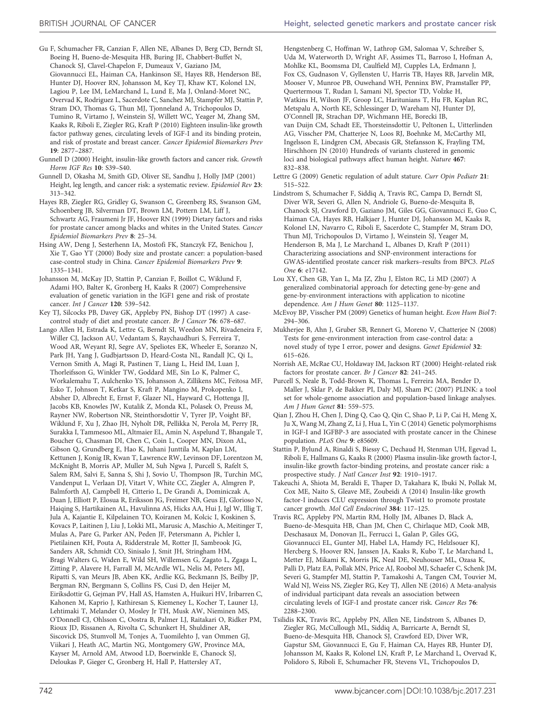- <span id="page-9-0"></span>Gu F, Schumacher FR, Canzian F, Allen NE, Albanes D, Berg CD, Berndt SI, Boeing H, Bueno-de-Mesquita HB, Buring JE, Chabbert-Buffet N, Chanock SJ, Clavel-Chapelon F, Dumeaux V, Gaziano JM, Giovannucci EL, Haiman CA, Hankinson SE, Hayes RB, Henderson BE, Hunter DJ, Hoover RN, Johansson M, Key TJ, Khaw KT, Kolonel LN, Lagiou P, Lee IM, LeMarchand L, Lund E, Ma J, Onland-Moret NC, Overvad K, Rodriguez L, Sacerdote C, Sanchez MJ, Stampfer MJ, Stattin P, Stram DO, Thomas G, Thun MJ, Tjonneland A, Trichopoulos D, Tumino R, Virtamo J, Weinstein SJ, Willett WC, Yeager M, Zhang SM, Kaaks R, Riboli E, Ziegler RG, Kraft P (2010) Eighteen insulin-like growth factor pathway genes, circulating levels of IGF-I and its binding protein, and risk of prostate and breast cancer. Cancer Epidemiol Biomarkers Prev 19: 2877–2887.
- Gunnell D (2000) Height, insulin-like growth factors and cancer risk. Growth Horm IGF Res 10: S39–S40.
- Gunnell D, Okasha M, Smith GD, Oliver SE, Sandhu J, Holly JMP (2001) Height, leg length, and cancer risk: a systematic review. Epidemiol Rev 23: 313–342.
- Hayes RB, Ziegler RG, Gridley G, Swanson C, Greenberg RS, Swanson GM, Schoenberg JB, Silverman DT, Brown LM, Pottern LM, Liff J, Schwartz AG, Fraumeni Jr JF, Hoover RN (1999) Dietary factors and risks for prostate cancer among blacks and whites in the United States. Cancer Epidemiol Biomarkers Prev 8: 25–34.
- Hsing AW, Deng J, Sesterhenn IA, Mostofi FK, Stanczyk FZ, Benichou J, Xie T, Gao YT (2000) Body size and prostate cancer: a population-based case-control study in China. Cancer Epidemiol Biomarkers Prev 9: 1335–1341.
- Johansson M, McKay JD, Stattin P, Canzian F, Boillot C, Wiklund F, Adami HO, Balter K, Gronberg H, Kaaks R (2007) Comprehensive evaluation of genetic variation in the IGF1 gene and risk of prostate cancer. Int J Cancer 120: 539-542.
- Key TJ, Silcocks PB, Davey GK, Appleby PN, Bishop DT (1997) A casecontrol study of diet and prostate cancer. Br J Cancer 76: 678–687.
- Lango Allen H, Estrada K, Lettre G, Berndt SI, Weedon MN, Rivadeneira F, Willer CJ, Jackson AU, Vedantam S, Raychaudhuri S, Ferreira T, Wood AR, Weyant RJ, Segre AV, Speliotes EK, Wheeler E, Soranzo N, Park JH, Yang J, Gudbjartsson D, Heard-Costa NL, Randall JC, Qi L, Vernon Smith A, Magi R, Pastinen T, Liang L, Heid IM, Luan J, Thorleifsson G, Winkler TW, Goddard ME, Sin Lo K, Palmer C, Workalemahu T, Aulchenko YS, Johansson A, Zillikens MC, Feitosa MF, Esko T, Johnson T, Ketkar S, Kraft P, Mangino M, Prokopenko I, Absher D, Albrecht E, Ernst F, Glazer NL, Hayward C, Hottenga JJ, Jacobs KB, Knowles JW, Kutalik Z, Monda KL, Polasek O, Preuss M, Rayner NW, Robertson NR, Steinthorsdottir V, Tyrer JP, Voight BF, Wiklund F, Xu J, Zhao JH, Nyholt DR, Pellikka N, Perola M, Perry JR, Surakka I, Tammesoo ML, Altmaier EL, Amin N, Aspelund T, Bhangale T, Boucher G, Chasman DI, Chen C, Coin L, Cooper MN, Dixon AL, Gibson Q, Grundberg E, Hao K, Juhani Junttila M, Kaplan LM, Kettunen J, Konig IR, Kwan T, Lawrence RW, Levinson DF, Lorentzon M, McKnight B, Morris AP, Muller M, Suh Ngwa J, Purcell S, Rafelt S, Salem RM, Salvi E, Sanna S, Shi J, Sovio U, Thompson JR, Turchin MC, Vandenput L, Verlaan DJ, Vitart V, White CC, Ziegler A, Almgren P, Balmforth AJ, Campbell H, Citterio L, De Grandi A, Dominiczak A, Duan J, Elliott P, Elosua R, Eriksson JG, Freimer NB, Geus EJ, Glorioso N, Haiqing S, Hartikainen AL, Havulinna AS, Hicks AA, Hui J, Igl W, Illig T, Jula A, Kajantie E, Kilpelainen TO, Koiranen M, Kolcic I, Koskinen S, Kovacs P, Laitinen J, Liu J, Lokki ML, Marusic A, Maschio A, Meitinger T, Mulas A, Pare G, Parker AN, Peden JF, Petersmann A, Pichler I, Pietilainen KH, Pouta A, Ridderstrale M, Rotter JI, Sambrook JG, Sanders AR, Schmidt CO, Sinisalo J, Smit JH, Stringham HM, Bragi Walters G, Widen E, Wild SH, Willemsen G, Zagato L, Zgaga L, Zitting P, Alavere H, Farrall M, McArdle WL, Nelis M, Peters MJ, Ripatti S, van Meurs JB, Aben KK, Ardlie KG, Beckmann JS, Beilby JP, Bergman RN, Bergmann S, Collins FS, Cusi D, den Heijer M, Eiriksdottir G, Gejman PV, Hall AS, Hamsten A, Huikuri HV, Iribarren C, Kahonen M, Kaprio J, Kathiresan S, Kiemeney L, Kocher T, Launer LJ, Lehtimaki T, Melander O, Mosley Jr TH, Musk AW, Nieminen MS, O'Donnell CJ, Ohlsson C, Oostra B, Palmer LJ, Raitakari O, Ridker PM, Rioux JD, Rissanen A, Rivolta C, Schunkert H, Shuldiner AR, Siscovick DS, Stumvoll M, Tonjes A, Tuomilehto J, van Ommen GJ, Viikari J, Heath AC, Martin NG, Montgomery GW, Province MA, Kayser M, Arnold AM, Atwood LD, Boerwinkle E, Chanock SJ, Deloukas P, Gieger C, Gronberg H, Hall P, Hattersley AT,

Hengstenberg C, Hoffman W, Lathrop GM, Salomaa V, Schreiber S, Uda M, Waterworth D, Wright AF, Assimes TL, Barroso I, Hofman A, Mohlke KL, Boomsma DI, Caulfield MJ, Cupples LA, Erdmann J, Fox CS, Gudnason V, Gyllensten U, Harris TB, Hayes RB, Jarvelin MR, Mooser V, Munroe PB, Ouwehand WH, Penninx BW, Pramstaller PP, Quertermous T, Rudan I, Samani NJ, Spector TD, Volzke H, Watkins H, Wilson JF, Groop LC, Haritunians T, Hu FB, Kaplan RC, Metspalu A, North KE, Schlessinger D, Wareham NJ, Hunter DJ, O'Connell JR, Strachan DP, Wichmann HE, Borecki IB, van Duijn CM, Schadt EE, Thorsteinsdottir U, Peltonen L, Uitterlinden AG, Visscher PM, Chatterjee N, Loos RJ, Boehnke M, McCarthy MI, Ingelsson E, Lindgren CM, Abecasis GR, Stefansson K, Frayling TM, Hirschhorn JN (2010) Hundreds of variants clustered in genomic loci and biological pathways affect human height. Nature 467: 832–838.

- Lettre G (2009) Genetic regulation of adult stature. Curr Opin Pediatr 21: 515–522.
- Lindstrom S, Schumacher F, Siddiq A, Travis RC, Campa D, Berndt SI, Diver WR, Severi G, Allen N, Andriole G, Bueno-de-Mesquita B, Chanock SJ, Crawford D, Gaziano JM, Giles GG, Giovannucci E, Guo C, Haiman CA, Hayes RB, Halkjaer J, Hunter DJ, Johansson M, Kaaks R, Kolonel LN, Navarro C, Riboli E, Sacerdote C, Stampfer M, Stram DO, Thun MJ, Trichopoulos D, Virtamo J, Weinstein SJ, Yeager M, Henderson B, Ma J, Le Marchand L, Albanes D, Kraft P (2011) Characterizing associations and SNP-environment interactions for GWAS-identified prostate cancer risk markers–results from BPC3. PLoS One 6: e17142.
- Lou XY, Chen GB, Yan L, Ma JZ, Zhu J, Elston RC, Li MD (2007) A generalized combinatorial approach for detecting gene-by-gene and gene-by-environment interactions with application to nicotine dependence. Am J Hum Genet 80: 1125–1137.
- McEvoy BP, Visscher PM (2009) Genetics of human height. Econ Hum Biol 7: 294–306.
- Mukherjee B, Ahn J, Gruber SB, Rennert G, Moreno V, Chatterjee N (2008) Tests for gene-environment interaction from case-control data: a novel study of type I error, power and designs. Genet Epidemiol 32: 615–626.
- Norrish AE, McRae CU, Holdaway IM, Jackson RT (2000) Height-related risk factors for prostate cancer. Br J Cancer 82: 241–245.
- Purcell S, Neale B, Todd-Brown K, Thomas L, Ferreira MA, Bender D, Maller J, Sklar P, de Bakker PI, Daly MJ, Sham PC (2007) PLINK: a tool set for whole-genome association and population-based linkage analyses. Am J Hum Genet 81: 559–575.
- Qian J, Zhou H, Chen J, Ding Q, Cao Q, Qin C, Shao P, Li P, Cai H, Meng X, Ju X, Wang M, Zhang Z, Li J, Hua L, Yin C (2014) Genetic polymorphisms in IGF-I and IGFBP-3 are associated with prostate cancer in the Chinese population. PLoS One 9: e85609.
- Stattin P, Bylund A, Rinaldi S, Biessy C, Dechaud H, Stenman UH, Egevad L, Riboli E, Hallmans G, Kaaks R (2000) Plasma insulin-like growth factor-I, insulin-like growth factor-binding proteins, and prostate cancer risk: a prospective study. J Natl Cancer Inst 92: 1910–1917.
- Takeuchi A, Shiota M, Beraldi E, Thaper D, Takahara K, Ibuki N, Pollak M, Cox ME, Naito S, Gleave ME, Zoubeidi A (2014) Insulin-like growth factor-I induces CLU expression through Twist1 to promote prostate cancer growth. Mol Cell Endocrinol 384: 117–125.
- Travis RC, Appleby PN, Martin RM, Holly JM, Albanes D, Black A, Bueno-de-Mesquita HB, Chan JM, Chen C, Chirlaque MD, Cook MB, Deschasaux M, Donovan JL, Ferrucci L, Galan P, Giles GG, Giovannucci EL, Gunter MJ, Habel LA, Hamdy FC, Helzlsouer KJ, Hercberg S, Hoover RN, Janssen JA, Kaaks R, Kubo T, Le Marchand L, Metter EJ, Mikami K, Morris JK, Neal DE, Neuhouser ML, Ozasa K, Palli D, Platz EA, Pollak MN, Price AJ, Roobol MJ, Schaefer C, Schenk JM, Severi G, Stampfer MJ, Stattin P, Tamakoshi A, Tangen CM, Touvier M, Wald NJ, Weiss NS, Ziegler RG, Key TJ, Allen NE (2016) A Meta-analysis of individual participant data reveals an association between circulating levels of IGF-I and prostate cancer risk. Cancer Res 76: 2288–2300.
- Tsilidis KK, Travis RC, Appleby PN, Allen NE, Lindstrom S, Albanes D, Ziegler RG, McCullough ML, Siddiq A, Barricarte A, Berndt SI, Bueno-de-Mesquita HB, Chanock SJ, Crawford ED, Diver WR, Gapstur SM, Giovannucci E, Gu F, Haiman CA, Hayes RB, Hunter DJ, Johansson M, Kaaks R, Kolonel LN, Kraft P, Le Marchand L, Overvad K, Polidoro S, Riboli E, Schumacher FR, Stevens VL, Trichopoulos D,